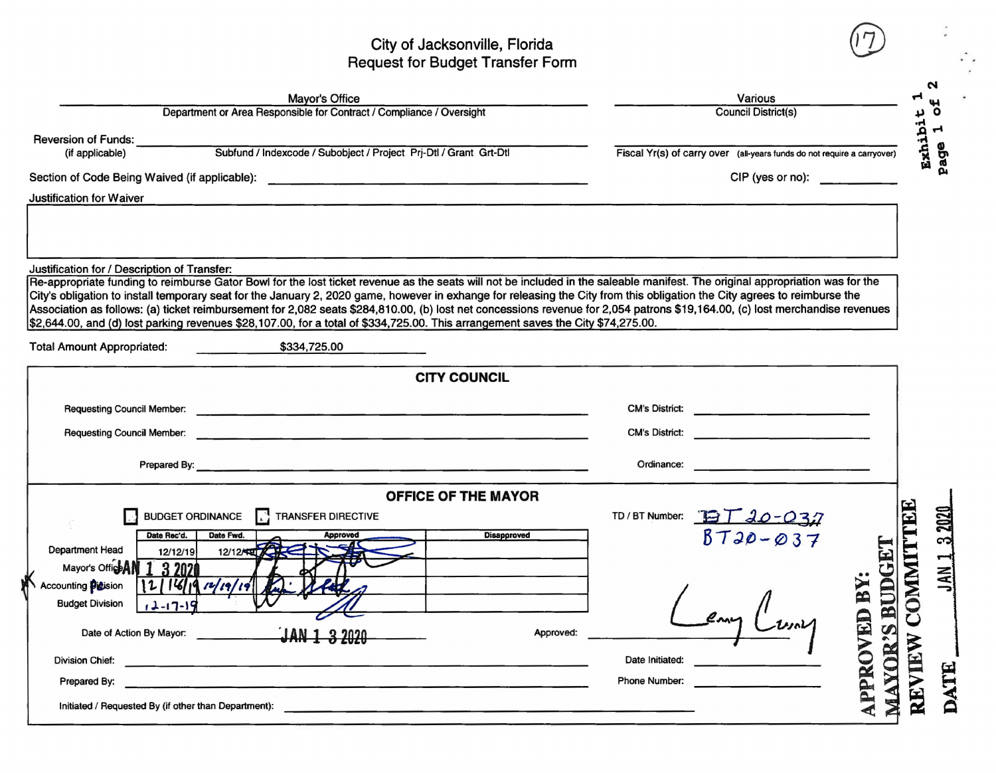## City of Jacksonville, Florida<br>Request for Budget Transfer Form

| Mayor's Office<br>Department or Area Responsible for Contract / Compliance / Oversight |                                                                                                                                                                                                                                                                                                                                                                                                                                                                                               |                                                                         | <b>Various</b><br><b>Council District(s)</b>                                                                                                                                                                                         |                       |        |  |  |
|----------------------------------------------------------------------------------------|-----------------------------------------------------------------------------------------------------------------------------------------------------------------------------------------------------------------------------------------------------------------------------------------------------------------------------------------------------------------------------------------------------------------------------------------------------------------------------------------------|-------------------------------------------------------------------------|--------------------------------------------------------------------------------------------------------------------------------------------------------------------------------------------------------------------------------------|-----------------------|--------|--|--|
| <b>Reversion of Funds:</b><br>(if applicable)                                          | Subfund / Indexcode / Subobject / Project Prj-Dtl / Grant Grt-Dtl                                                                                                                                                                                                                                                                                                                                                                                                                             | Fiscal Yr(s) of carry over (all-years funds do not require a carryover) | Exhib:                                                                                                                                                                                                                               | Page                  |        |  |  |
|                                                                                        |                                                                                                                                                                                                                                                                                                                                                                                                                                                                                               |                                                                         | $CIP$ (yes or no):                                                                                                                                                                                                                   |                       |        |  |  |
| <b>Justification for Waiver</b>                                                        |                                                                                                                                                                                                                                                                                                                                                                                                                                                                                               |                                                                         |                                                                                                                                                                                                                                      |                       |        |  |  |
| Justification for / Description of Transfer:                                           | Re-appropriate funding to reimburse Gator Bowl for the lost ticket revenue as the seats will not be included in the saleable manifest. The original appropriation was for the                                                                                                                                                                                                                                                                                                                 |                                                                         |                                                                                                                                                                                                                                      |                       |        |  |  |
|                                                                                        | City's obligation to install temporary seat for the January 2, 2020 game, however in exhange for releasing the City from this obligation the City agrees to reimburse the<br>Association as follows: (a) ticket reimbursement for 2,082 seats \$284,810.00, (b) lost net concessions revenue for 2,054 patrons \$19,164.00, (c) lost merchandise revenues<br>\$2,644.00, and (d) lost parking revenues \$28,107.00, for a total of \$334,725.00. This arrangement saves the City \$74,275.00. |                                                                         |                                                                                                                                                                                                                                      |                       |        |  |  |
| <b>Total Amount Appropriated:</b>                                                      | \$334,725.00                                                                                                                                                                                                                                                                                                                                                                                                                                                                                  |                                                                         |                                                                                                                                                                                                                                      |                       |        |  |  |
|                                                                                        | <b>CITY COUNCIL</b>                                                                                                                                                                                                                                                                                                                                                                                                                                                                           |                                                                         |                                                                                                                                                                                                                                      |                       |        |  |  |
|                                                                                        |                                                                                                                                                                                                                                                                                                                                                                                                                                                                                               | <b>CM's District:</b>                                                   | <u> 1980 - Jan Alexandro Alexandro Alexandro Alexandro Alexandro Alexandro Alexandro Alexandro Alexandro Alexandro Alexandro Alexandro Alexandro Alexandro Alexandro Alexandro Alexandro Alexandro Alexandro Alexandro Alexandro</u> |                       |        |  |  |
|                                                                                        |                                                                                                                                                                                                                                                                                                                                                                                                                                                                                               | <b>CM's District:</b>                                                   | <u> 1989 - Johann John Stein, mars an deus Frankryk (</u>                                                                                                                                                                            |                       |        |  |  |
|                                                                                        |                                                                                                                                                                                                                                                                                                                                                                                                                                                                                               | Ordinance:                                                              |                                                                                                                                                                                                                                      |                       |        |  |  |
|                                                                                        | <b>OFFICE OF THE MAYOR</b>                                                                                                                                                                                                                                                                                                                                                                                                                                                                    |                                                                         |                                                                                                                                                                                                                                      |                       |        |  |  |
|                                                                                        | <b>BUDGET ORDINANCE</b><br><b>TRANSFER DIRECTIVE</b>                                                                                                                                                                                                                                                                                                                                                                                                                                          | TD / BT Number:                                                         | $BT$ $30 - 037$                                                                                                                                                                                                                      |                       | 3 2020 |  |  |
| Date Rec'd.<br><b>Department Head</b>                                                  | Disapproved<br>Date Fwd.<br><b>Approved</b><br>12/12/19<br>12/12/12                                                                                                                                                                                                                                                                                                                                                                                                                           |                                                                         | $BT30-037$                                                                                                                                                                                                                           | <b>OMMITT</b>         |        |  |  |
| Mayor's Office AN 1                                                                    | 3 202                                                                                                                                                                                                                                                                                                                                                                                                                                                                                         |                                                                         |                                                                                                                                                                                                                                      | <b>BUDGET</b>         | $\leq$ |  |  |
| Accounting <b>Picision</b><br>121                                                      | 11411<br>12/19/19                                                                                                                                                                                                                                                                                                                                                                                                                                                                             |                                                                         |                                                                                                                                                                                                                                      |                       |        |  |  |
| <b>Budget Division</b><br>$12 - 17 - 19$                                               |                                                                                                                                                                                                                                                                                                                                                                                                                                                                                               |                                                                         |                                                                                                                                                                                                                                      | $\mathbf{\mathsf{C}}$ |        |  |  |
|                                                                                        | Date of Action By Mayor:<br>$JAN$ 1 3 2020<br>Approved:                                                                                                                                                                                                                                                                                                                                                                                                                                       |                                                                         |                                                                                                                                                                                                                                      | $\boldsymbol{y}$      |        |  |  |
| <b>Division Chief:</b>                                                                 |                                                                                                                                                                                                                                                                                                                                                                                                                                                                                               | Date Initiated:                                                         |                                                                                                                                                                                                                                      | <b>AYOR'</b>          |        |  |  |
| Prepared By:                                                                           |                                                                                                                                                                                                                                                                                                                                                                                                                                                                                               | <b>Phone Number:</b>                                                    |                                                                                                                                                                                                                                      | PPROVED BY:<br>REVIEW | DATE   |  |  |
| Initiated / Requested By (if other than Department):                                   |                                                                                                                                                                                                                                                                                                                                                                                                                                                                                               |                                                                         |                                                                                                                                                                                                                                      |                       |        |  |  |